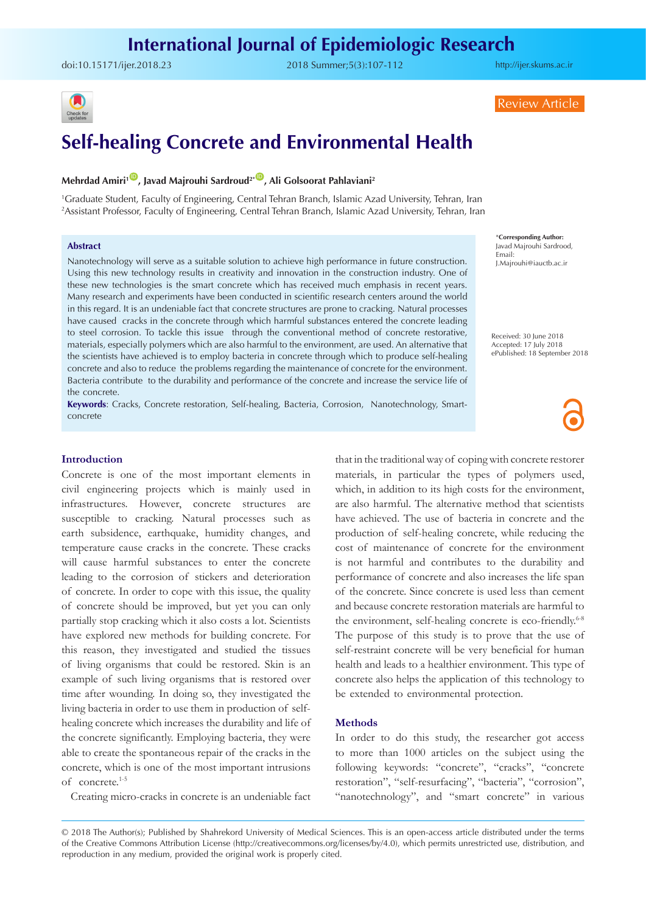# **International Journal of Epidemiologic Research**

doi:[10.15171/ijer.2018.23](https://doi.org/10.15171/ijer.2018.23) 2018 Summer;5(3):107-112

<http://ijer.skums.ac.ir>



Review Article

# **Self-healing Concrete and Environmental Health**

## **Mehrdad Amiri<sup>1</sup><sup>10</sup>, Javad Majrouhi Sardroud<sup>2\*</sup><sup>(D</sup>, Ali Golsoorat Pahlaviani<sup>2</sup>)**

1 Graduate Student, Faculty of Engineering, Central Tehran Branch, Islamic Azad University, Tehran, Iran 2 Assistant Professor, Faculty of Engineering, Central Tehran Branch, Islamic Azad University, Tehran, Iran

#### **Abstract**

Nanotechnology will serve as a suitable solution to achieve high performance in future construction. Using this new technology results in creativity and innovation in the construction industry. One of these new technologies is the smart concrete which has received much emphasis in recent years. Many research and experiments have been conducted in scientific research centers around the world in this regard. It is an undeniable fact that concrete structures are prone to cracking. Natural processes have caused cracks in the concrete through which harmful substances entered the concrete leading to steel corrosion. To tackle this issue through the conventional method of concrete restorative, materials, especially polymers which are also harmful to the environment, are used. An alternative that the scientists have achieved is to employ bacteria in concrete through which to produce self-healing concrete and also to reduce the problems regarding the maintenance of concrete for the environment. Bacteria contribute to the durability and performance of the concrete and increase the service life of the concrete.

**Keywords**: Cracks, Concrete restoration, Self-healing, Bacteria, Corrosion, Nanotechnology, Smartconcrete

#### **Introduction**

Concrete is one of the most important elements in civil engineering projects which is mainly used in infrastructures. However, concrete structures are susceptible to cracking. Natural processes such as earth subsidence, earthquake, humidity changes, and temperature cause cracks in the concrete. These cracks will cause harmful substances to enter the concrete leading to the corrosion of stickers and deterioration of concrete. In order to cope with this issue, the quality of concrete should be improved, but yet you can only partially stop cracking which it also costs a lot. Scientists have explored new methods for building concrete. For this reason, they investigated and studied the tissues of living organisms that could be restored. Skin is an example of such living organisms that is restored over time after wounding. In doing so, they investigated the living bacteria in order to use them in production of selfhealing concrete which increases the durability and life of the concrete significantly. Employing bacteria, they were able to create the spontaneous repair of the cracks in the concrete, which is one of the most important intrusions of concrete.1-5

Creating micro-cracks in concrete is an undeniable fact

\***Corresponding Author:** Javad Majrouhi Sardrood, Email: J.Majrouhi@iauctb.ac.ir

Received: 30 June 2018 Accepted: 17 July 2018 ePublished: 18 September 2018

that in the traditional way of coping with concrete restorer materials, in particular the types of polymers used, which, in addition to its high costs for the environment, are also harmful. The alternative method that scientists have achieved. The use of bacteria in concrete and the production of self-healing concrete, while reducing the cost of maintenance of concrete for the environment is not harmful and contributes to the durability and performance of concrete and also increases the life span of the concrete. Since concrete is used less than cement and because concrete restoration materials are harmful to the environment, self-healing concrete is eco-friendly.<sup>6-8</sup> The purpose of this study is to prove that the use of self-restraint concrete will be very beneficial for human health and leads to a healthier environment. This type of concrete also helps the application of this technology to be extended to environmental protection.

#### **Methods**

In order to do this study, the researcher got access to more than 1000 articles on the subject using the following keywords: "concrete", "cracks", "concrete restoration", "self-resurfacing", "bacteria", "corrosion", "nanotechnology", and "smart concrete" in various

<sup>© 2018</sup> The Author(s); Published by Shahrekord University of Medical Sciences. This is an open-access article distributed under the terms of the Creative Commons Attribution License (http://creativecommons.org/licenses/by/4.0), which permits unrestricted use, distribution, and reproduction in any medium, provided the original work is properly cited.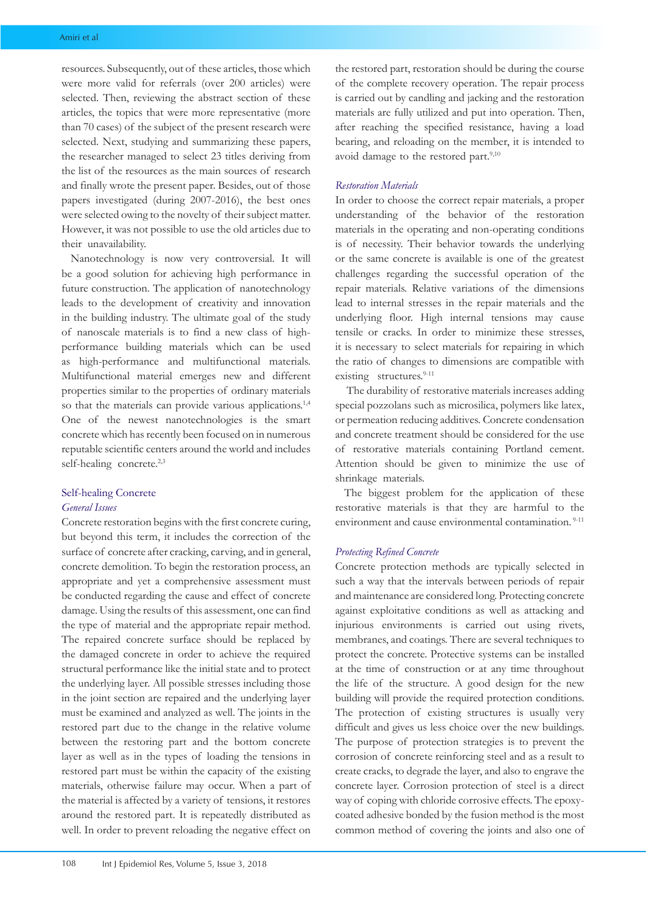resources. Subsequently, out of these articles, those which were more valid for referrals (over 200 articles) were selected. Then, reviewing the abstract section of these articles, the topics that were more representative (more than 70 cases) of the subject of the present research were selected. Next, studying and summarizing these papers, the researcher managed to select 23 titles deriving from the list of the resources as the main sources of research and finally wrote the present paper. Besides, out of those papers investigated (during 2007-2016), the best ones were selected owing to the novelty of their subject matter. However, it was not possible to use the old articles due to their unavailability.

Nanotechnology is now very controversial. It will be a good solution for achieving high performance in future construction. The application of nanotechnology leads to the development of creativity and innovation in the building industry. The ultimate goal of the study of nanoscale materials is to find a new class of highperformance building materials which can be used as high-performance and multifunctional materials. Multifunctional material emerges new and different properties similar to the properties of ordinary materials so that the materials can provide various applications.<sup>1,4</sup> One of the newest nanotechnologies is the smart concrete which has recently been focused on in numerous reputable scientific centers around the world and includes self-healing concrete.<sup>2,3</sup>

## Self-healing Concrete *General Issues*

Concrete restoration begins with the first concrete curing, but beyond this term, it includes the correction of the surface of concrete after cracking, carving, and in general, concrete demolition. To begin the restoration process, an appropriate and yet a comprehensive assessment must be conducted regarding the cause and effect of concrete damage. Using the results of this assessment, one can find the type of material and the appropriate repair method. The repaired concrete surface should be replaced by the damaged concrete in order to achieve the required structural performance like the initial state and to protect the underlying layer. All possible stresses including those in the joint section are repaired and the underlying layer must be examined and analyzed as well. The joints in the restored part due to the change in the relative volume between the restoring part and the bottom concrete layer as well as in the types of loading the tensions in restored part must be within the capacity of the existing materials, otherwise failure may occur. When a part of the material is affected by a variety of tensions, it restores around the restored part. It is repeatedly distributed as well. In order to prevent reloading the negative effect on

the restored part, restoration should be during the course of the complete recovery operation. The repair process is carried out by candling and jacking and the restoration materials are fully utilized and put into operation. Then, after reaching the specified resistance, having a load bearing, and reloading on the member, it is intended to avoid damage to the restored part.<sup>9,10</sup>

## *Restoration Materials*

In order to choose the correct repair materials, a proper understanding of the behavior of the restoration materials in the operating and non-operating conditions is of necessity. Their behavior towards the underlying or the same concrete is available is one of the greatest challenges regarding the successful operation of the repair materials. Relative variations of the dimensions lead to internal stresses in the repair materials and the underlying floor. High internal tensions may cause tensile or cracks. In order to minimize these stresses, it is necessary to select materials for repairing in which the ratio of changes to dimensions are compatible with existing structures.<sup>9-11</sup>

 The durability of restorative materials increases adding special pozzolans such as microsilica, polymers like latex, or permeation reducing additives. Concrete condensation and concrete treatment should be considered for the use of restorative materials containing Portland cement. Attention should be given to minimize the use of shrinkage materials.

The biggest problem for the application of these restorative materials is that they are harmful to the environment and cause environmental contamination.<sup>9-11</sup>

#### *Protecting Refined Concrete*

Concrete protection methods are typically selected in such a way that the intervals between periods of repair and maintenance are considered long. Protecting concrete against exploitative conditions as well as attacking and injurious environments is carried out using rivets, membranes, and coatings. There are several techniques to protect the concrete. Protective systems can be installed at the time of construction or at any time throughout the life of the structure. A good design for the new building will provide the required protection conditions. The protection of existing structures is usually very difficult and gives us less choice over the new buildings. The purpose of protection strategies is to prevent the corrosion of concrete reinforcing steel and as a result to create cracks, to degrade the layer, and also to engrave the concrete layer. Corrosion protection of steel is a direct way of coping with chloride corrosive effects. The epoxycoated adhesive bonded by the fusion method is the most common method of covering the joints and also one of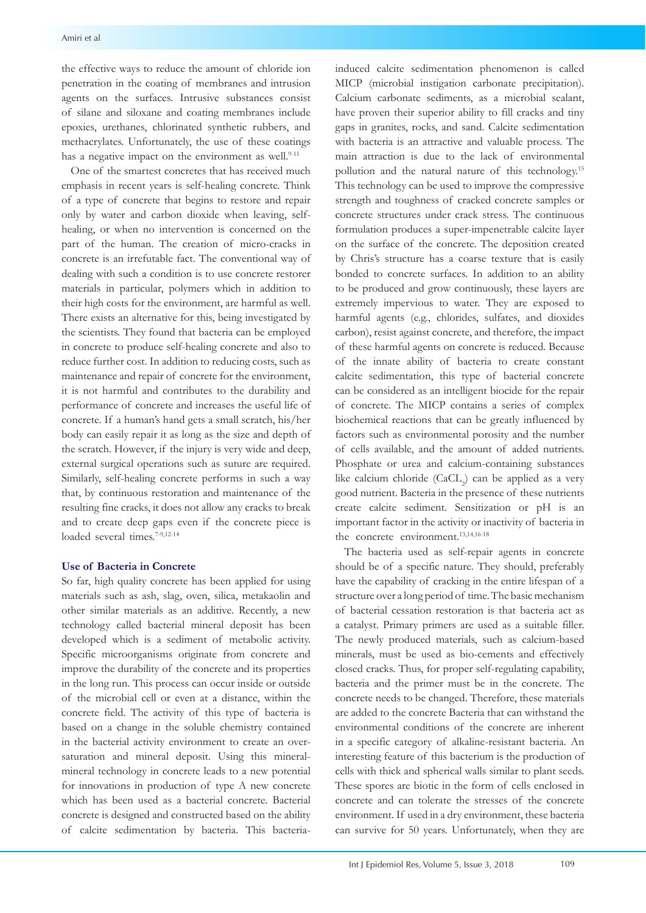the effective ways to reduce the amount of chloride ion penetration in the coating of membranes and intrusion agents on the surfaces. Intrusive substances consist of silane and siloxane and coating membranes include epoxies, urethanes, chlorinated synthetic rubbers, and methacrylates. Unfortunately, the use of these coatings has a negative impact on the environment as well.<sup>9-11</sup>

One of the smartest concretes that has received much emphasis in recent years is self-healing concrete. Think of a type of concrete that begins to restore and repair only by water and carbon dioxide when leaving, selfhealing, or when no intervention is concerned on the part of the human. The creation of micro-cracks in concrete is an irrefutable fact. The conventional way of dealing with such a condition is to use concrete restorer materials in particular, polymers which in addition to their high costs for the environment, are harmful as well. There exists an alternative for this, being investigated by the scientists. They found that bacteria can be employed in concrete to produce self-healing concrete and also to reduce further cost. In addition to reducing costs, such as maintenance and repair of concrete for the environment, it is not harmful and contributes to the durability and performance of concrete and increases the useful life of concrete. If a human's hand gets a small scratch, his/her body can easily repair it as long as the size and depth of the scratch. However, if the injury is very wide and deep, external surgical operations such as suture are required. Similarly, self-healing concrete performs in such a way that, by continuous restoration and maintenance of the resulting fine cracks, it does not allow any cracks to break and to create deep gaps even if the concrete piece is loaded several times.<sup>7-9,12-14</sup>

#### **Use of Bacteria in Concrete**

So far, high quality concrete has been applied for using materials such as ash, slag, oven, silica, metakaolin and other similar materials as an additive. Recently, a new technology called bacterial mineral deposit has been developed which is a sediment of metabolic activity. Specific microorganisms originate from concrete and improve the durability of the concrete and its properties in the long run. This process can occur inside or outside of the microbial cell or even at a distance, within the concrete field. The activity of this type of bacteria is based on a change in the soluble chemistry contained in the bacterial activity environment to create an oversaturation and mineral deposit. Using this mineralmineral technology in concrete leads to a new potential for innovations in production of type A new concrete which has been used as a bacterial concrete. Bacterial concrete is designed and constructed based on the ability of calcite sedimentation by bacteria. This bacteriainduced calcite sedimentation phenomenon is called MICP (microbial instigation carbonate precipitation). Calcium carbonate sediments, as a microbial sealant, have proven their superior ability to fill cracks and tiny gaps in granites, rocks, and sand. Calcite sedimentation with bacteria is an attractive and valuable process. The main attraction is due to the lack of environmental pollution and the natural nature of this technology.15 This technology can be used to improve the compressive strength and toughness of cracked concrete samples or concrete structures under crack stress. The continuous formulation produces a super-impenetrable calcite layer on the surface of the concrete. The deposition created by Chris's structure has a coarse texture that is easily bonded to concrete surfaces. In addition to an ability to be produced and grow continuously, these layers are extremely impervious to water. They are exposed to harmful agents (e.g., chlorides, sulfates, and dioxides carbon), resist against concrete, and therefore, the impact of these harmful agents on concrete is reduced. Because of the innate ability of bacteria to create constant calcite sedimentation, this type of bacterial concrete can be considered as an intelligent biocide for the repair of concrete. The MICP contains a series of complex biochemical reactions that can be greatly influenced by factors such as environmental porosity and the number of cells available, and the amount of added nutrients. Phosphate or urea and calcium-containing substances like calcium chloride (CaCL<sub>2</sub>) can be applied as a very good nutrient. Bacteria in the presence of these nutrients create calcite sediment. Sensitization or pH is an important factor in the activity or inactivity of bacteria in the concrete environment.<sup>13,14,16-18</sup>

The bacteria used as self-repair agents in concrete should be of a specific nature. They should, preferably have the capability of cracking in the entire lifespan of a structure over a long period of time. The basic mechanism of bacterial cessation restoration is that bacteria act as a catalyst. Primary primers are used as a suitable filler. The newly produced materials, such as calcium-based minerals, must be used as bio-cements and effectively closed cracks. Thus, for proper self-regulating capability, bacteria and the primer must be in the concrete. The concrete needs to be changed. Therefore, these materials are added to the concrete Bacteria that can withstand the environmental conditions of the concrete are inherent in a specific category of alkaline-resistant bacteria. An interesting feature of this bacterium is the production of cells with thick and spherical walls similar to plant seeds. These spores are biotic in the form of cells enclosed in concrete and can tolerate the stresses of the concrete environment. If used in a dry environment, these bacteria can survive for 50 years. Unfortunately, when they are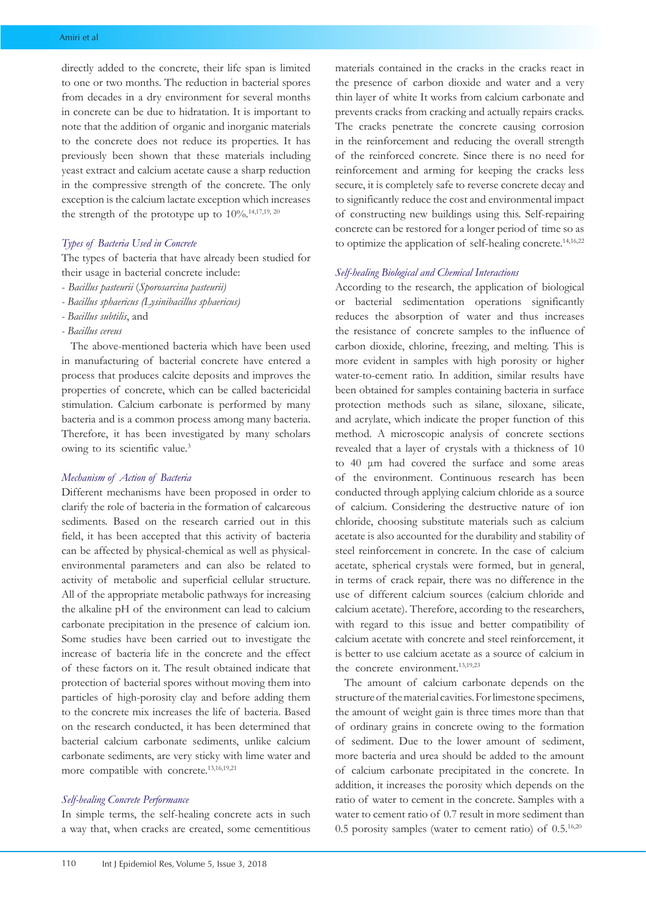directly added to the concrete, their life span is limited to one or two months. The reduction in bacterial spores from decades in a dry environment for several months in concrete can be due to hidratation. It is important to note that the addition of organic and inorganic materials to the concrete does not reduce its properties. It has previously been shown that these materials including yeast extract and calcium acetate cause a sharp reduction in the compressive strength of the concrete. The only exception is the calcium lactate exception which increases the strength of the prototype up to  $10\%$ .<sup>14,17,19, 20</sup>

### *Types of Bacteria Used in Concrete*

The types of bacteria that have already been studied for their usage in bacterial concrete include:

- *Bacillus pasteurii* (*Sporosarcina pasteurii)*
- *Bacillus sphaericus (Lysinibacillus sphaericus)*
- *Bacillus subtilis*, and
- *Bacillus cereus*

The above-mentioned bacteria which have been used in manufacturing of bacterial concrete have entered a process that produces calcite deposits and improves the properties of concrete, which can be called bactericidal stimulation. Calcium carbonate is performed by many bacteria and is a common process among many bacteria. Therefore, it has been investigated by many scholars owing to its scientific value.<sup>3</sup>

#### *Mechanism of Action of Bacteria*

Different mechanisms have been proposed in order to clarify the role of bacteria in the formation of calcareous sediments. Based on the research carried out in this field, it has been accepted that this activity of bacteria can be affected by physical-chemical as well as physicalenvironmental parameters and can also be related to activity of metabolic and superficial cellular structure. All of the appropriate metabolic pathways for increasing the alkaline pH of the environment can lead to calcium carbonate precipitation in the presence of calcium ion. Some studies have been carried out to investigate the increase of bacteria life in the concrete and the effect of these factors on it. The result obtained indicate that protection of bacterial spores without moving them into particles of high-porosity clay and before adding them to the concrete mix increases the life of bacteria. Based on the research conducted, it has been determined that bacterial calcium carbonate sediments, unlike calcium carbonate sediments, are very sticky with lime water and more compatible with concrete.13,16,19,21

## *Self-healing Concrete Performance*

In simple terms, the self-healing concrete acts in such a way that, when cracks are created, some cementitious materials contained in the cracks in the cracks react in the presence of carbon dioxide and water and a very thin layer of white It works from calcium carbonate and prevents cracks from cracking and actually repairs cracks. The cracks penetrate the concrete causing corrosion in the reinforcement and reducing the overall strength of the reinforced concrete. Since there is no need for reinforcement and arming for keeping the cracks less secure, it is completely safe to reverse concrete decay and to significantly reduce the cost and environmental impact of constructing new buildings using this. Self-repairing concrete can be restored for a longer period of time so as to optimize the application of self-healing concrete.<sup>14,16,22</sup>

#### *Self-healing Biological and Chemical Interactions*

According to the research, the application of biological or bacterial sedimentation operations significantly reduces the absorption of water and thus increases the resistance of concrete samples to the influence of carbon dioxide, chlorine, freezing, and melting. This is more evident in samples with high porosity or higher water-to-cement ratio. In addition, similar results have been obtained for samples containing bacteria in surface protection methods such as silane, siloxane, silicate, and acrylate, which indicate the proper function of this method. A microscopic analysis of concrete sections revealed that a layer of crystals with a thickness of 10 to 40 μm had covered the surface and some areas of the environment. Continuous research has been conducted through applying calcium chloride as a source of calcium. Considering the destructive nature of ion chloride, choosing substitute materials such as calcium acetate is also accounted for the durability and stability of steel reinforcement in concrete. In the case of calcium acetate, spherical crystals were formed, but in general, in terms of crack repair, there was no difference in the use of different calcium sources (calcium chloride and calcium acetate). Therefore, according to the researchers, with regard to this issue and better compatibility of calcium acetate with concrete and steel reinforcement, it is better to use calcium acetate as a source of calcium in the concrete environment.<sup>13,19,23</sup>

The amount of calcium carbonate depends on the structure of the material cavities. For limestone specimens, the amount of weight gain is three times more than that of ordinary grains in concrete owing to the formation of sediment. Due to the lower amount of sediment, more bacteria and urea should be added to the amount of calcium carbonate precipitated in the concrete. In addition, it increases the porosity which depends on the ratio of water to cement in the concrete. Samples with a water to cement ratio of 0.7 result in more sediment than 0.5 porosity samples (water to cement ratio) of 0.5.16,20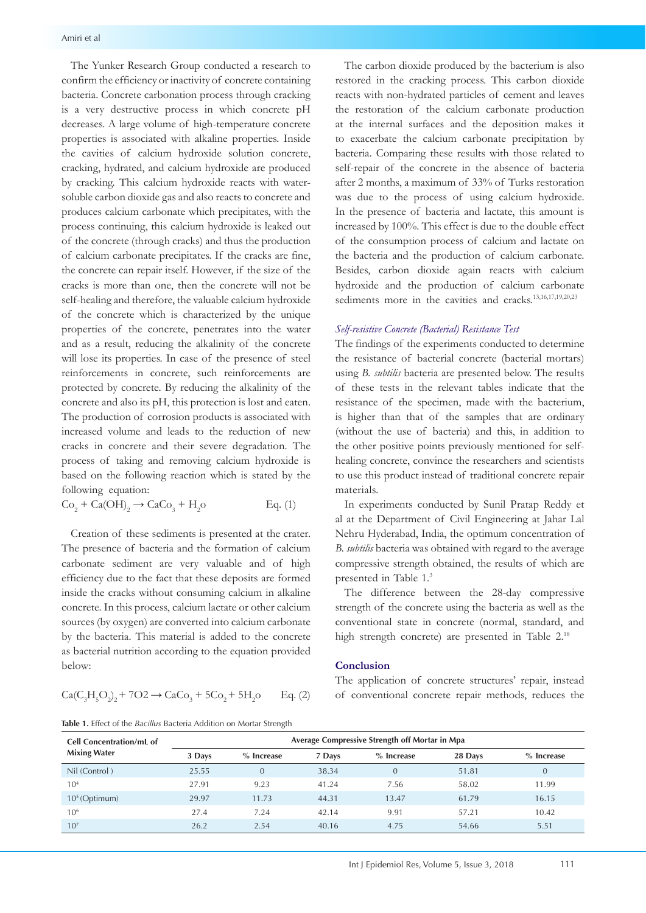The Yunker Research Group conducted a research to confirm the efficiency or inactivity of concrete containing bacteria. Concrete carbonation process through cracking is a very destructive process in which concrete pH decreases. A large volume of high-temperature concrete properties is associated with alkaline properties. Inside the cavities of calcium hydroxide solution concrete, cracking, hydrated, and calcium hydroxide are produced by cracking. This calcium hydroxide reacts with watersoluble carbon dioxide gas and also reacts to concrete and produces calcium carbonate which precipitates, with the process continuing, this calcium hydroxide is leaked out of the concrete (through cracks) and thus the production of calcium carbonate precipitates. If the cracks are fine, the concrete can repair itself. However, if the size of the cracks is more than one, then the concrete will not be self-healing and therefore, the valuable calcium hydroxide of the concrete which is characterized by the unique properties of the concrete, penetrates into the water and as a result, reducing the alkalinity of the concrete will lose its properties. In case of the presence of steel reinforcements in concrete, such reinforcements are protected by concrete. By reducing the alkalinity of the concrete and also its pH, this protection is lost and eaten. The production of corrosion products is associated with increased volume and leads to the reduction of new cracks in concrete and their severe degradation. The process of taking and removing calcium hydroxide is based on the following reaction which is stated by the following equation:

 $Co_2 + Ca(OH)_2 \rightarrow CaCo_3 + H_2$ Eq.  $(1)$ 

Creation of these sediments is presented at the crater. The presence of bacteria and the formation of calcium carbonate sediment are very valuable and of high efficiency due to the fact that these deposits are formed inside the cracks without consuming calcium in alkaline concrete. In this process, calcium lactate or other calcium sources (by oxygen) are converted into calcium carbonate by the bacteria. This material is added to the concrete as bacterial nutrition according to the equation provided below:

$$
\text{Ca}(C_3H_5O_2)_2 + 7O2 \to \text{CaCo}_3 + 5\text{Co}_2 + 5\text{H}_2\text{o} \qquad \text{Eq. (2)}
$$

**Table 1.** Effect of the *Bacillus* Bacteria Addition on Mortar Strength

The carbon dioxide produced by the bacterium is also restored in the cracking process. This carbon dioxide reacts with non-hydrated particles of cement and leaves the restoration of the calcium carbonate production at the internal surfaces and the deposition makes it to exacerbate the calcium carbonate precipitation by bacteria. Comparing these results with those related to self-repair of the concrete in the absence of bacteria after 2 months, a maximum of 33% of Turks restoration was due to the process of using calcium hydroxide. In the presence of bacteria and lactate, this amount is increased by 100%. This effect is due to the double effect of the consumption process of calcium and lactate on the bacteria and the production of calcium carbonate. Besides, carbon dioxide again reacts with calcium hydroxide and the production of calcium carbonate sediments more in the cavities and cracks.<sup>13,16,17,19,20,23</sup>

#### *Self-resistive Concrete (Bacterial) Resistance Test*

The findings of the experiments conducted to determine the resistance of bacterial concrete (bacterial mortars) using *B. subtilis* bacteria are presented below. The results of these tests in the relevant tables indicate that the resistance of the specimen, made with the bacterium, is higher than that of the samples that are ordinary (without the use of bacteria) and this, in addition to the other positive points previously mentioned for selfhealing concrete, convince the researchers and scientists to use this product instead of traditional concrete repair materials.

In experiments conducted by Sunil Pratap Reddy et al at the Department of Civil Engineering at Jahar Lal Nehru Hyderabad, India, the optimum concentration of *B. subtilis* bacteria was obtained with regard to the average compressive strength obtained, the results of which are presented in Table 1. 3

The difference between the 28-day compressive strength of the concrete using the bacteria as well as the conventional state in concrete (normal, standard, and high strength concrete) are presented in Table 2.18

### **Conclusion**

The application of concrete structures' repair, instead of conventional concrete repair methods, reduces the

| <b>Cell Concentration/mL of</b><br><b>Mixing Water</b> | Average Compressive Strength off Mortar in Mpa |              |        |              |         |                |  |  |
|--------------------------------------------------------|------------------------------------------------|--------------|--------|--------------|---------|----------------|--|--|
|                                                        | 3 Days                                         | $%$ Increase | 7 Days | $%$ Increase | 28 Days | $%$ Increase   |  |  |
| Nil (Control)                                          | 25.55                                          | $\Omega$     | 38.34  | $\Omega$     | 51.81   | $\overline{0}$ |  |  |
| 10 <sup>4</sup>                                        | 27.91                                          | 9.23         | 41.24  | 7.56         | 58.02   | 11.99          |  |  |
| $105$ (Optimum)                                        | 29.97                                          | 11.73        | 44.31  | 13.47        | 61.79   | 16.15          |  |  |
| $10^{6}$                                               | 27.4                                           | 7.24         | 42.14  | 9.91         | 57.21   | 10.42          |  |  |
| 10 <sup>7</sup>                                        | 26.2                                           | 2.54         | 40.16  | 4.75         | 54.66   | 5.51           |  |  |